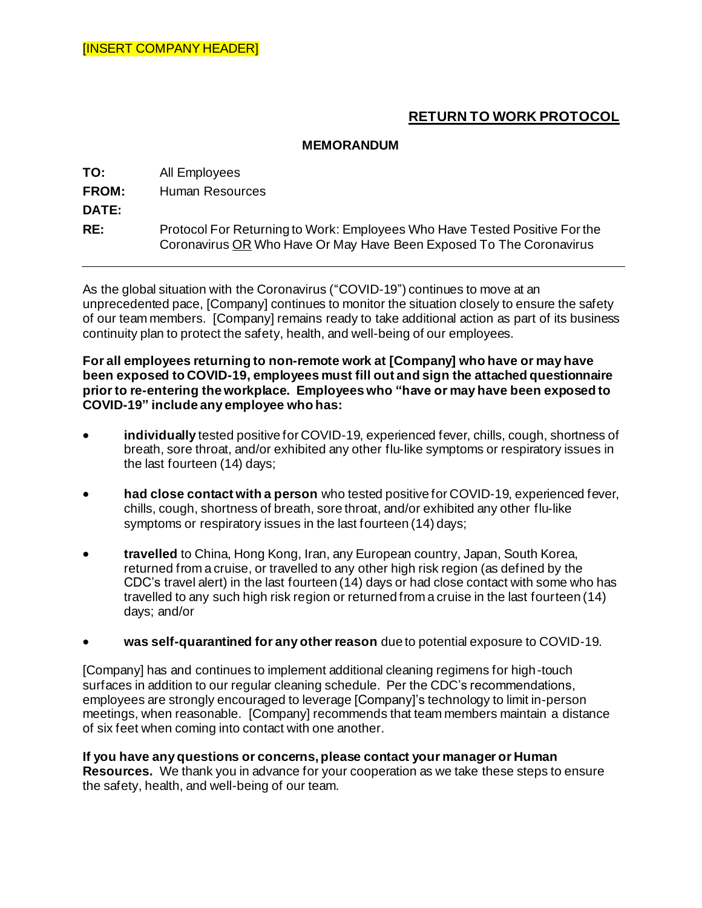## **RETURN TO WORK PROTOCOL**

## **MEMORANDUM**

**TO:** All Employees **FROM:** Human Resources **DATE: RE:** Protocol For Returning to Work: Employees Who Have Tested Positive For the Coronavirus OR Who Have Or May Have Been Exposed To The Coronavirus

As the global situation with the Coronavirus ("COVID-19") continues to move at an unprecedented pace, [Company] continues to monitor the situation closely to ensure the safety of our team members. [Company] remains ready to take additional action as part of its business continuity plan to protect the safety, health, and well-being of our employees.

**For all employees returning to non-remote work at [Company] who have or may have been exposed to COVID-19, employees must fill out and sign the attached questionnaire prior to re-entering the workplace. Employees who "have or may have been exposed to COVID-19" include any employee who has:**

- **individually** tested positive for COVID-19, experienced fever, chills, cough, shortness of breath, sore throat, and/or exhibited any other flu-like symptoms or respiratory issues in the last fourteen (14) days;
- **had close contact with a person** who tested positive for COVID-19, experienced fever, chills, cough, shortness of breath, sore throat, and/or exhibited any other flu-like symptoms or respiratory issues in the last fourteen (14) days;
- **travelled** to China, Hong Kong, Iran, any European country, Japan, South Korea, returned from a cruise, or travelled to any other high risk region (as defined by the CDC's travel alert) in the last fourteen (14) days or had close contact with some who has travelled to any such high risk region or returned from a cruise in the last fourteen (14) days; and/or
- **was self-quarantined for any other reason** due to potential exposure to COVID-19.

[Company] has and continues to implement additional cleaning regimens for high-touch surfaces in addition to our regular cleaning schedule. Per the CDC's recommendations, employees are strongly encouraged to leverage [Company]'s technology to limit in-person meetings, when reasonable. [Company] recommends that team members maintain a distance of six feet when coming into contact with one another.

**If you have any questions or concerns, please contact your manager or Human Resources.** We thank you in advance for your cooperation as we take these steps to ensure the safety, health, and well-being of our team.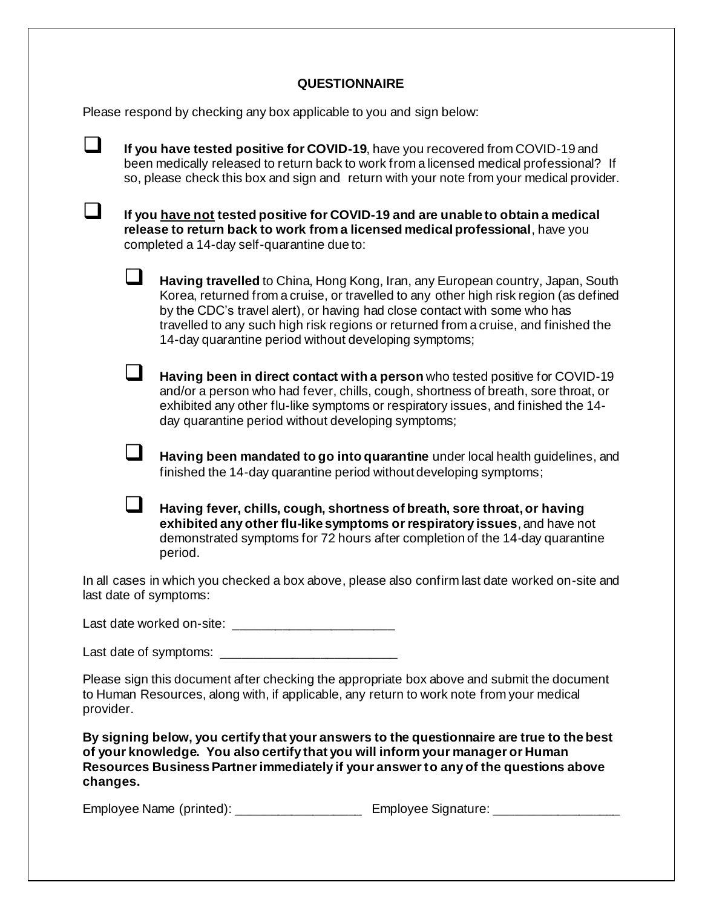## **QUESTIONNAIRE**

Please respond by checking any box applicable to you and sign below:

|                                                                                                                           | If you have tested positive for COVID-19, have you recovered from COVID-19 and<br>been medically released to return back to work from a licensed medical professional? If<br>so, please check this box and sign and return with your note from your medical provider. |                                                                                                                                                                                                                                                                                                                                                                                                      |
|---------------------------------------------------------------------------------------------------------------------------|-----------------------------------------------------------------------------------------------------------------------------------------------------------------------------------------------------------------------------------------------------------------------|------------------------------------------------------------------------------------------------------------------------------------------------------------------------------------------------------------------------------------------------------------------------------------------------------------------------------------------------------------------------------------------------------|
|                                                                                                                           | If you have not tested positive for COVID-19 and are unable to obtain a medical<br>release to return back to work from a licensed medical professional, have you<br>completed a 14-day self-quarantine due to:                                                        |                                                                                                                                                                                                                                                                                                                                                                                                      |
|                                                                                                                           | ப                                                                                                                                                                                                                                                                     | Having travelled to China, Hong Kong, Iran, any European country, Japan, South<br>Korea, returned from a cruise, or travelled to any other high risk region (as defined<br>by the CDC's travel alert), or having had close contact with some who has<br>travelled to any such high risk regions or returned from a cruise, and finished the<br>14-day quarantine period without developing symptoms; |
|                                                                                                                           |                                                                                                                                                                                                                                                                       | Having been in direct contact with a person who tested positive for COVID-19<br>and/or a person who had fever, chills, cough, shortness of breath, sore throat, or<br>exhibited any other flu-like symptoms or respiratory issues, and finished the 14-<br>day quarantine period without developing symptoms;                                                                                        |
|                                                                                                                           | $\Box$                                                                                                                                                                                                                                                                | Having been mandated to go into quarantine under local health guidelines, and<br>finished the 14-day quarantine period without developing symptoms;                                                                                                                                                                                                                                                  |
|                                                                                                                           |                                                                                                                                                                                                                                                                       | Having fever, chills, cough, shortness of breath, sore throat, or having<br>exhibited any other flu-like symptoms or respiratory issues, and have not<br>demonstrated symptoms for 72 hours after completion of the 14-day quarantine<br>period.                                                                                                                                                     |
| In all cases in which you checked a box above, please also confirm last date worked on-site and<br>last date of symptoms: |                                                                                                                                                                                                                                                                       |                                                                                                                                                                                                                                                                                                                                                                                                      |
|                                                                                                                           |                                                                                                                                                                                                                                                                       |                                                                                                                                                                                                                                                                                                                                                                                                      |
|                                                                                                                           |                                                                                                                                                                                                                                                                       |                                                                                                                                                                                                                                                                                                                                                                                                      |
| Please sign this document after checking the appropriate box above and submit the document                                |                                                                                                                                                                                                                                                                       |                                                                                                                                                                                                                                                                                                                                                                                                      |

to Human Resources, along with, if applicable, any return to work note from your medical provider.

**By signing below, you certify that your answers to the questionnaire are true to the best of your knowledge. You also certify that you will inform your manager or Human Resources Business Partner immediately if your answer to any of the questions above changes.** 

Employee Name (printed): \_\_\_\_\_\_\_\_\_\_\_\_\_\_\_\_\_\_\_\_\_ Employee Signature: \_\_\_\_\_\_\_\_\_\_\_\_\_